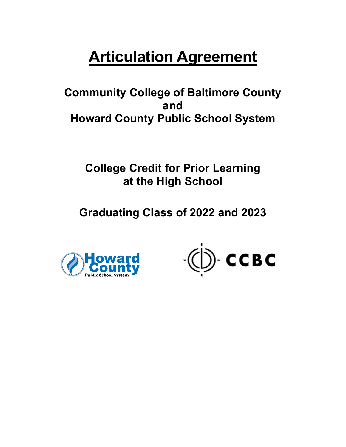# **Articulation Agreement**

 **Community College of Baltimore County Howard County Public School System and** 

 **College Credit for Prior Learning at the High School** 

 **Graduating Class of 2022 and 2023** 



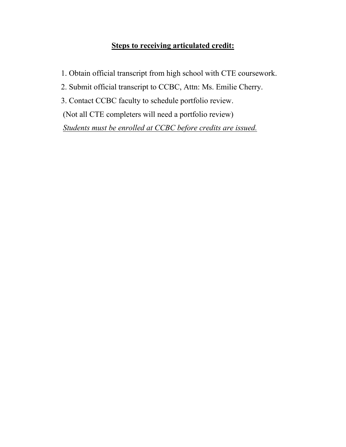## **Steps to receiving articulated credit:**

- 1. Obtain official transcript from high school with CTE coursework.
- 2. Submit official transcript to CCBC, Attn: Ms. Emilie Cherry.
- 3. Contact CCBC faculty to schedule portfolio review.
- (Not all CTE completers will need a portfolio review)

*Students must be enrolled at CCBC before credits are issued.*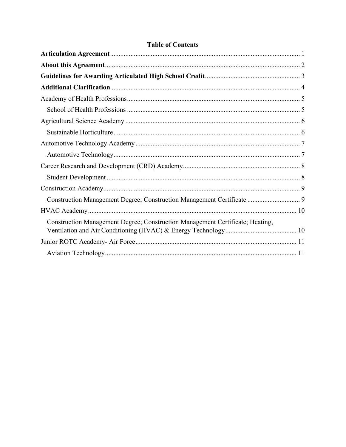| Construction Management Degree; Construction Management Certificate  9        |
|-------------------------------------------------------------------------------|
|                                                                               |
| Construction Management Degree; Construction Management Certificate; Heating, |
|                                                                               |
|                                                                               |

## **Table of Contents**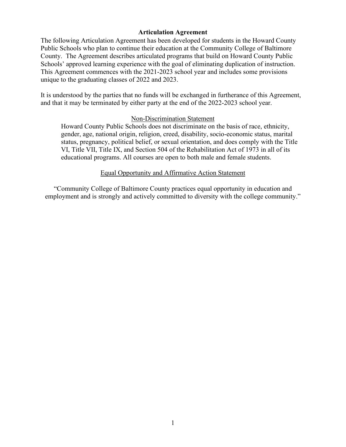#### **Articulation Agreement**

<span id="page-3-0"></span> This Agreement commences with the 2021-2023 school year and includes some provisions unique to the graduating classes of 2022 and 2023. The following Articulation Agreement has been developed for students in the Howard County Public Schools who plan to continue their education at the Community College of Baltimore County. The Agreement describes articulated programs that build on Howard County Public Schools' approved learning experience with the goal of eliminating duplication of instruction.

 and that it may be terminated by either party at the end of the 2022-2023 school year. It is understood by the parties that no funds will be exchanged in furtherance of this Agreement,

#### Non-Discrimination Statement

Howard County Public Schools does not discriminate on the basis of race, ethnicity, gender, age, national origin, religion, creed, disability, socio-economic status, marital status, pregnancy, political belief, or sexual orientation, and does comply with the Title VI, Title VII, Title IX, and Section 504 of the Rehabilitation Act of 1973 in all of its educational programs. All courses are open to both male and female students.

#### Equal Opportunity and Affirmative Action Statement

"Community College of Baltimore County practices equal opportunity in education and employment and is strongly and actively committed to diversity with the college community."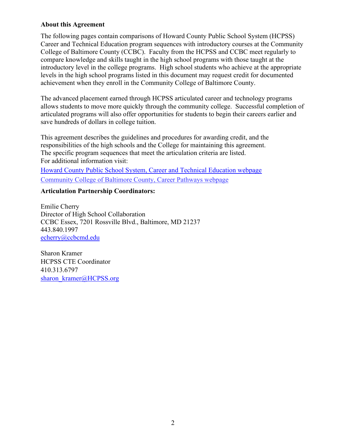#### <span id="page-4-0"></span>**About this Agreement**

 The following pages contain comparisons of Howard County Public School System (HCPSS) introductory level in the college programs. High school students who achieve at the appropriate Career and Technical Education program sequences with introductory courses at the Community College of Baltimore County (CCBC). Faculty from the HCPSS and CCBC meet regularly to compare knowledge and skills taught in the high school programs with those taught at the levels in the high school programs listed in this document may request credit for documented achievement when they enroll in the Community College of Baltimore County.

The advanced placement earned through HCPSS articulated career and technology programs allows students to move more quickly through the community college. Successful completion of articulated programs will also offer opportunities for students to begin their careers earlier and save hundreds of dollars in college tuition.

 responsibilities of the high schools and the College for maintaining this agreement. The specific program sequences that meet the articulation criteria are listed. For additional information visit: The specific program sequences that meet the articulation criteria are listed. This agreement describes the guidelines and procedures for awarding credit, and the

[Howard County Public School System, Career and Technical Education webpage](https://www.hcpss.org/academics/career-technology-education/)  [Community College of Baltimore County, Career Pathways webpage](https://www.ccbcmd.edu/Programs-and-Courses/Early-College-Access-Programs/Career-Pathways.aspx) 

#### **Articulation Partnership Coordinators:**

 CCBC Essex, 7201 Rossville Blvd., Baltimore, MD 21237 Emilie Cherry Director of High School Collaboration 443.840.1997

echerry@ccbcmd.edu<br>Sharon Kramer sharon kramer@HCPSS.org HCPSS CTE Coordinator 410.313.6797 [sharon\\_kramer@HCPSS.org](mailto:sharon_kramer@HCPSS.org) 2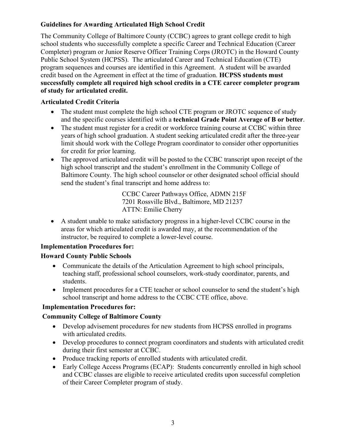## <span id="page-5-0"></span>**Guidelines for Awarding Articulated High School Credit**

 Public School System (HCPSS). The articulated Career and Technical Education (CTE)  **successfully complete all required high school credits in a CTE career completer program**  The Community College of Baltimore County (CCBC) agrees to grant college credit to high school students who successfully complete a specific Career and Technical Education (Career Completer) program or Junior Reserve Officer Training Corps (JROTC) in the Howard County program sequences and courses are identified in this Agreement. A student will be awarded credit based on the Agreement in effect at the time of graduation. **HCPSS students must of study for articulated credit.** 

### **Articulated Credit Criteria**

- The student must complete the high school CTE program or JROTC sequence of study and the specific courses identified with a **technical Grade Point Average of B or better**.
- The student must register for a credit or workforce training course at CCBC within three years of high school graduation. A student seeking articulated credit after the three-year limit should work with the College Program coordinator to consider other opportunities for credit for prior learning.
- send the student's final transcript and home address to: • The approved articulated credit will be posted to the CCBC transcript upon receipt of the high school transcript and the student's enrollment in the Community College of Baltimore County. The high school counselor or other designated school official should

 CCBC Career Pathways Office, ADMN 215F ATTN: Emilie Cherry 7201 Rossville Blvd., Baltimore, MD 21237

• A student unable to make satisfactory progress in a higher-level CCBC course in the areas for which articulated credit is awarded may, at the recommendation of the instructor, be required to complete a lower-level course.

#### **Implementation Procedures for:**

## **Howard County Public Schools**

- Communicate the details of the Articulation Agreement to high school principals, teaching staff, professional school counselors, work-study coordinator, parents, and students.
- Implement procedures for a CTE teacher or school counselor to send the student's high school transcript and home address to the CCBC CTE office, above.

## **Implementation Procedures for:**

## **Community College of Baltimore County**

- Develop advisement procedures for new students from HCPSS enrolled in programs with articulated credits.
- Develop procedures to connect program coordinators and students with articulated credit during their first semester at CCBC.
- Produce tracking reports of enrolled students with articulated credit.
- Early College Access Programs (ECAP): Students concurrently enrolled in high school and CCBC classes are eligible to receive articulated credits upon successful completion of their Career Completer program of study.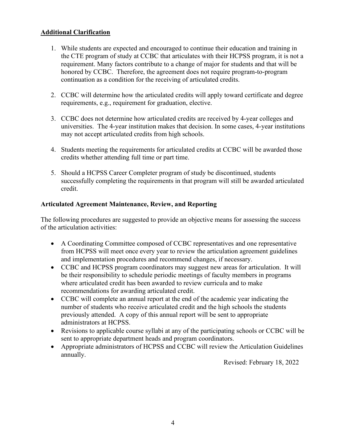#### <span id="page-6-0"></span>**Additional Clarification**

- 1. While students are expected and encouraged to continue their education and training in the CTE program of study at CCBC that articulates with their HCPSS program, it is not a requirement. Many factors contribute to a change of major for students and that will be honored by CCBC. Therefore, the agreement does not require program-to-program continuation as a condition for the receiving of articulated credits.
- 2. CCBC will determine how the articulated credits will apply toward certificate and degree requirements, e.g., requirement for graduation, elective.
- 3. CCBC does not determine how articulated credits are received by 4-year colleges and universities. The 4-year institution makes that decision. In some cases, 4-year institutions may not accept articulated credits from high schools.
- 4. Students meeting the requirements for articulated credits at CCBC will be awarded those credits whether attending full time or part time.
- 5. Should a HCPSS Career Completer program of study be discontinued, students successfully completing the requirements in that program will still be awarded articulated credit.

#### **Articulated Agreement Maintenance, Review, and Reporting**

The following procedures are suggested to provide an objective means for assessing the success of the articulation activities:

- A Coordinating Committee composed of CCBC representatives and one representative from HCPSS will meet once every year to review the articulation agreement guidelines and implementation procedures and recommend changes, if necessary.
- CCBC and HCPSS program coordinators may suggest new areas for articulation. It will be their responsibility to schedule periodic meetings of faculty members in programs where articulated credit has been awarded to review curricula and to make recommendations for awarding articulated credit.
- number of students who receive articulated credit and the high schools the students • CCBC will complete an annual report at the end of the academic year indicating the previously attended. A copy of this annual report will be sent to appropriate administrators at HCPSS.
- Revisions to applicable course syllabi at any of the participating schools or CCBC will be sent to appropriate department heads and program coordinators.
- annually. • Appropriate administrators of HCPSS and CCBC will review the Articulation Guidelines

Revised: February 18, 2022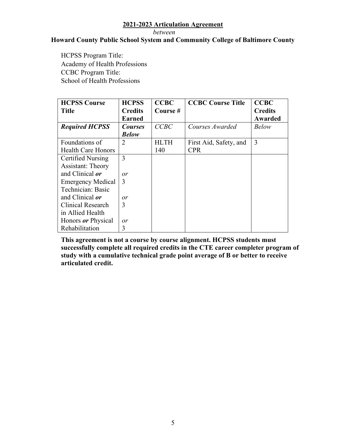*between* 

#### **Howard County Public School System and Community College of Baltimore County**

<span id="page-7-0"></span>**HCPSS Program Title:** Academy of Health Professions CCBC Program Title: School of Health Professions

<span id="page-7-1"></span>

| <b>HCPSS Course</b>       | <b>HCPSS</b>   | <b>CCBC</b> | <b>CCBC Course Title</b> | <b>CCBC</b>    |
|---------------------------|----------------|-------------|--------------------------|----------------|
| <b>Title</b>              | <b>Credits</b> | Course#     |                          | <b>Credits</b> |
|                           | <b>Earned</b>  |             |                          | Awarded        |
| <b>Required HCPSS</b>     | <b>Courses</b> | CCBC        | Courses Awarded          | <b>Below</b>   |
|                           | <b>Below</b>   |             |                          |                |
| Foundations of            | 2              | <b>HLTH</b> | First Aid, Safety, and   | 3              |
| <b>Health Care Honors</b> |                | 140         | <b>CPR</b>               |                |
| Certified Nursing         | 3              |             |                          |                |
| <b>Assistant: Theory</b>  |                |             |                          |                |
| and Clinical or           | or             |             |                          |                |
| <b>Emergency Medical</b>  | 3              |             |                          |                |
| Technician: Basic         |                |             |                          |                |
| and Clinical <i>or</i>    | or             |             |                          |                |
| Clinical Research         | 3              |             |                          |                |
| in Allied Health          |                |             |                          |                |
| Honors <i>or</i> Physical | or             |             |                          |                |
| Rehabilitation            | 3              |             |                          |                |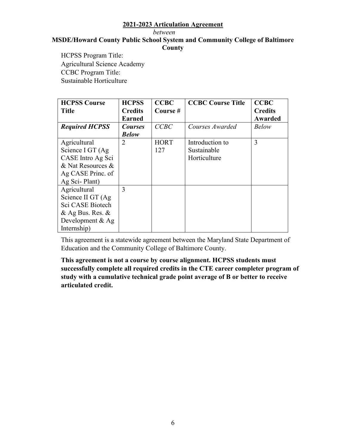*between* 

#### **MSDE/Howard County Public School System and Community College of Baltimore County**

<span id="page-8-0"></span>**HCPSS Program Title:** Agricultural Science Academy CCBC Program Title: Sustainable Horticulture

<span id="page-8-1"></span>

| <b>HCPSS Course</b>   | <b>HCPSS</b>   | <b>CCBC</b> | <b>CCBC Course Title</b> | <b>CCBC</b>    |
|-----------------------|----------------|-------------|--------------------------|----------------|
| <b>Title</b>          | <b>Credits</b> | Course #    |                          | <b>Credits</b> |
|                       | <b>Earned</b>  |             |                          | Awarded        |
| <b>Required HCPSS</b> | <b>Courses</b> | <b>CCBC</b> | Courses Awarded          | <b>Below</b>   |
|                       | Below          |             |                          |                |
| Agricultural          | 2              | <b>HORT</b> | Introduction to          | 3              |
| Science I GT (Ag      |                | 127         | Sustainable              |                |
| CASE Intro Ag Sci     |                |             | Horticulture             |                |
| & Nat Resources &     |                |             |                          |                |
| Ag CASE Princ. of     |                |             |                          |                |
| Ag Sci-Plant)         |                |             |                          |                |
| Agricultural          | 3              |             |                          |                |
| Science II GT (Ag     |                |             |                          |                |
| Sci CASE Biotech      |                |             |                          |                |
| $&$ Ag Bus. Res. $&$  |                |             |                          |                |
| Development $&$ Ag    |                |             |                          |                |
| Internship)           |                |             |                          |                |

This agreement is a statewide agreement between the Maryland State Department of Education and the Community College of Baltimore County.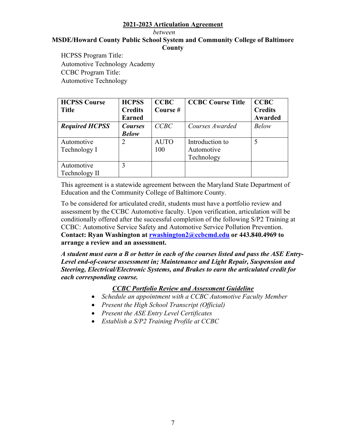*between* 

#### **MSDE/Howard County Public School System and Community College of Baltimore County**

<span id="page-9-0"></span>**HCPSS Program Title:** HCPSS Program Title:<br>Automotive Technology Academy CCBC Program Title: Automotive Technology

<span id="page-9-1"></span>

| <b>HCPSS Course</b>   | <b>HCPSS</b>   | <b>CCBC</b> | <b>CCBC Course Title</b> | <b>CCBC</b>    |
|-----------------------|----------------|-------------|--------------------------|----------------|
| <b>Title</b>          | <b>Credits</b> | Course#     |                          | <b>Credits</b> |
|                       | <b>Earned</b>  |             |                          | Awarded        |
| <b>Required HCPSS</b> | <b>Courses</b> | CCBC        | Courses Awarded          | <b>Below</b>   |
|                       | <b>Below</b>   |             |                          |                |
| Automotive            | 2              | <b>AUTO</b> | Introduction to          |                |
| Technology I          |                | 100         | Automotive               |                |
|                       |                |             | Technology               |                |
| Automotive            |                |             |                          |                |
| Technology II         |                |             |                          |                |

This agreement is a statewide agreement between the Maryland State Department of Education and the Community College of Baltimore County.

To be considered for articulated credit, students must have a portfolio review and assessment by the CCBC Automotive faculty. Upon verification, articulation will be conditionally offered after the successful completion of the following S/P2 Training at CCBC: Automotive Service Safety and Automotive Service Pollution Prevention. **Contact: Ryan Washington at [rwashington2@ccbcmd.edu](mailto:rwashington2@ccbcmd.edu) or 443.840.4969 to arrange a review and an assessment.** 

*A student must earn a B or better in each of the courses listed and pass the ASE Entry-Level end-of-course assessment in; Maintenance and Light Repair, Suspension and Steering, Electrical/Electronic Systems, and Brakes to earn the articulated credit for each corresponding course.* 

*CCBC Portfolio Review and Assessment Guideline* 

- *Schedule an appointment with a CCBC Automotive Faculty Member*
- *Present the High School Transcript (Official)*
- *Present the ASE Entry Level Certificates*
- *Establish a S/P2 Training Profile at CCBC*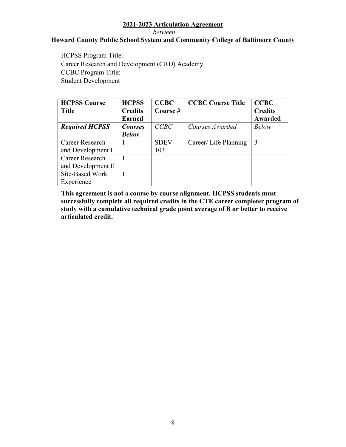*between* 

#### **Howard County Public School System and Community College of Baltimore County**

<span id="page-10-0"></span>HCPSS Program Title: HCPSS Program Title:<br>Career Research and Development (CRD) Academy CCBC Program Title: Student Development

<span id="page-10-1"></span>

| <b>HCPSS Course</b>   | <b>HCPSS</b>   | <b>CCBC</b> | <b>CCBC Course Title</b> | <b>CCBC</b>    |
|-----------------------|----------------|-------------|--------------------------|----------------|
| <b>Title</b>          | <b>Credits</b> | Course#     |                          | <b>Credits</b> |
|                       | <b>Earned</b>  |             |                          | <b>Awarded</b> |
| <b>Required HCPSS</b> | <b>Courses</b> | CCBC        | Courses Awarded          | <b>Below</b>   |
|                       | <b>Below</b>   |             |                          |                |
| Career Research       |                | <b>SDEV</b> | Career/ Life Planning    | 3              |
| and Development I     |                | 103         |                          |                |
| Career Research       |                |             |                          |                |
| and Development II    |                |             |                          |                |
| Site-Based Work       |                |             |                          |                |
| Experience            |                |             |                          |                |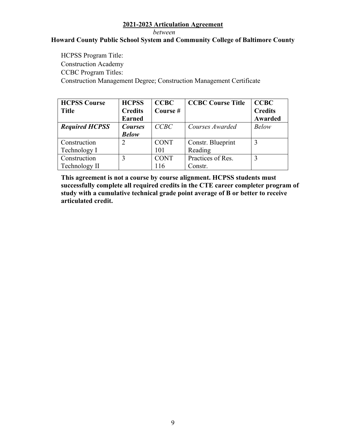#### *between*

#### **Howard County Public School System and Community College of Baltimore County**

<span id="page-11-0"></span>**HCPSS Program Title:** Construction Academy CCBC Program Titles: Construction Management Degree; Construction Management Certificate

<span id="page-11-1"></span>

| <b>HCPSS Course</b>   | <b>HCPSS</b>   | <b>CCBC</b> | <b>CCBC Course Title</b> | <b>CCBC</b>    |
|-----------------------|----------------|-------------|--------------------------|----------------|
| <b>Title</b>          | <b>Credits</b> | Course #    |                          | <b>Credits</b> |
|                       | <b>Earned</b>  |             |                          | Awarded        |
| <b>Required HCPSS</b> | <b>Courses</b> | CCBC        | Courses Awarded          | <b>Below</b>   |
|                       | <b>Below</b>   |             |                          |                |
| Construction          |                | <b>CONT</b> | Constr. Blueprint        |                |
| Technology I          |                | 101         | Reading                  |                |
| Construction          |                | <b>CONT</b> | Practices of Res.        | 3              |
| Technology II         |                | 116         | Constr.                  |                |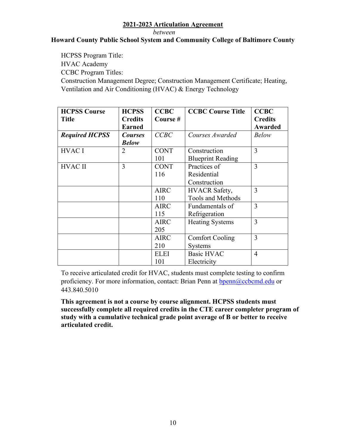#### *between*

#### **Howard County Public School System and Community College of Baltimore County**

<span id="page-12-1"></span><span id="page-12-0"></span> HCPSS Program Title: HVAC Academy Ventilation and Air Conditioning (HVAC) & Energy Technology CCBC Program Titles: Construction Management Degree; Construction Management Certificate; Heating,

| <b>HCPSS Course</b><br><b>Title</b> | <b>HCPSS</b><br><b>Credits</b><br><b>Earned</b> | <b>CCBC</b><br>Course# | <b>CCBC Course Title</b>                         | <b>CCBC</b><br><b>Credits</b><br><b>Awarded</b> |
|-------------------------------------|-------------------------------------------------|------------------------|--------------------------------------------------|-------------------------------------------------|
| <b>Required HCPSS</b>               | <b>Courses</b><br><b>Below</b>                  | CCBC                   | Courses Awarded                                  | <b>Below</b>                                    |
| <b>HVAC I</b>                       | 2                                               | <b>CONT</b><br>101     | Construction<br><b>Blueprint Reading</b>         | 3                                               |
| <b>HVAC II</b>                      | 3                                               | <b>CONT</b><br>116     | Practices of<br>Residential<br>Construction      | 3                                               |
|                                     |                                                 | <b>AIRC</b><br>110     | <b>HVACR</b> Safety,<br><b>Tools and Methods</b> | 3                                               |
|                                     |                                                 | <b>AIRC</b><br>115     | Fundamentals of<br>Refrigeration                 | 3                                               |
|                                     |                                                 | <b>AIRC</b><br>205     | <b>Heating Systems</b>                           | 3                                               |
|                                     |                                                 | <b>AIRC</b><br>210     | <b>Comfort Cooling</b><br><b>Systems</b>         | 3                                               |
|                                     |                                                 | <b>ELEI</b><br>101     | <b>Basic HVAC</b><br>Electricity                 | $\overline{4}$                                  |

To receive articulated credit for HVAC, students must complete testing to confirm proficiency. For more information, contact: Brian Penn at [bpenn@ccbcmd.edu](mailto:bpenn@ccbcmd.edu) or 443.840.5010